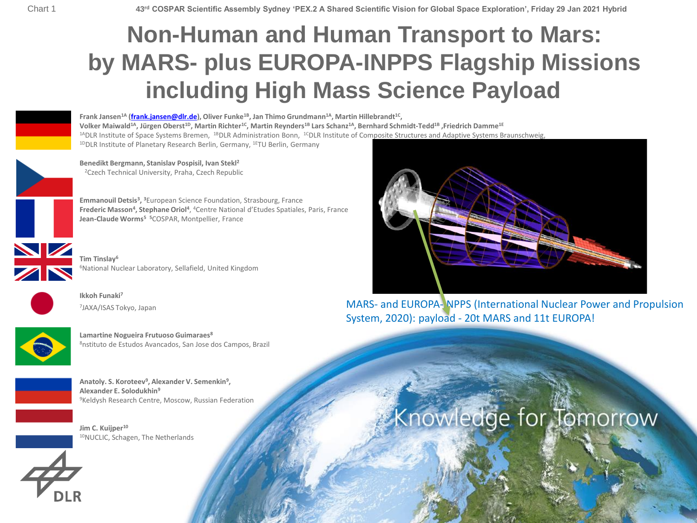## **Non-Human and Human Transport to Mars: by MARS- plus EUROPA-INPPS Flagship Missions including High Mass Science Payload**



**Frank Jansen1A [\(frank.jansen@dlr.de\)](mailto:frank.jansen@dlr.de), Oliver Funke1B, Jan Thimo Grundmann1A, Martin Hillebrandt1C ,**  Volker Maiwald<sup>1A</sup>, Jürgen Oberst<sup>1D</sup>, Martin Richter<sup>1C</sup>, Martin Reynders<sup>1B</sup> Lars Schanz<sup>1A</sup>, Bernhard Schmidt-Tedd<sup>1B</sup>, Friedrich Damme<sup>1E</sup>  $14$ DLR Institute of Space Systems Bremen,  $18$ DLR Administration Bonn,  $1c$ DLR Institute of Composite Structures and Adaptive Systems Braunschweig, <sup>1D</sup>DLR Institute of Planetary Research Berlin, Germany, <sup>1E</sup>TU Berlin, Germany

**Benedikt Bergmann, Stanislav Pospisil, Ivan Stekl<sup>2</sup>** <sup>2</sup>Czech Technical University, Praha, Czech Republic

**Emmanouil Detsis<sup>3</sup> , <sup>3</sup>**European Science Foundation, Strasbourg, France Frederic Masson<sup>4</sup>, Stephane Oriol<sup>4</sup>, <sup>4</sup>Centre National d'Etudes Spatiales, Paris, France **Jean-Claude Worms<sup>5</sup> <sup>5</sup>**COSPAR, Montpellier, France

**Tim Tinslay<sup>6</sup>** <sup>6</sup>National Nuclear Laboratory, Sellafield, United Kingdom



**NIZ** 

**Ikkoh Funaki<sup>7</sup>** 7 JAXA/ISAS Tokyo, Japan



**Lamartine Nogueira Frutuoso Guimaraes<sup>8</sup>** <sup>8</sup>nstituto de Estudos Avancados, San Jose dos Campos, Brazil



**Anatoly. S. Koroteev<sup>9</sup> , Alexander V. Semenkin<sup>9</sup> , Alexander E. Solodukhin<sup>9</sup>** <sup>9</sup>Keldysh Research Centre, Moscow, Russian Federation

**Jim C. Kuijper<sup>10</sup>** <sup>10</sup>NUCLIC, Schagen, The Netherlands





MARS- and EUROPA-INPPS (International Nuclear Power and Propulsion System, 2020): payload - 20t MARS and 11t EUROPA!

# Knowledge for Tomorrow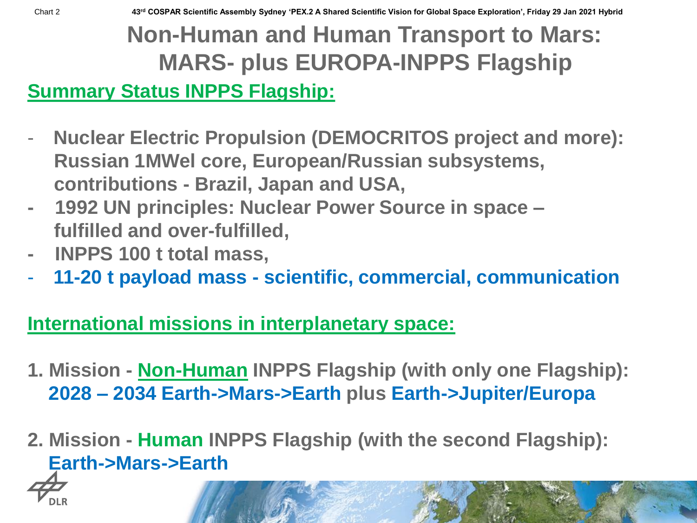# **Non-Human and Human Transport to Mars: MARS- plus EUROPA-INPPS Flagship**

**Summary Status INPPS Flagship:** 

- **Nuclear Electric Propulsion (DEMOCRITOS project and more): Russian 1MWel core, European/Russian subsystems, contributions - Brazil, Japan and USA,**
- **- 1992 UN principles: Nuclear Power Source in space – fulfilled and over-fulfilled,**
- **- INPPS 100 t total mass,**
- **11-20 t payload mass - scientific, commercial, communication**

### **International missions in interplanetary space:**

- **1. Mission - Non-Human INPPS Flagship (with only one Flagship): 2028 – 2034 Earth->Mars->Earth plus Earth->Jupiter/Europa**
- **2. Mission - Human INPPS Flagship (with the second Flagship): Earth->Mars->Earth**

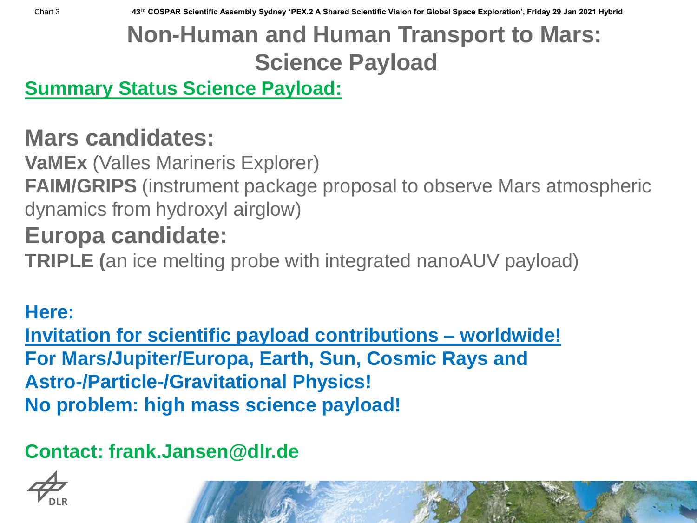Chart 3 **43rd COSPAR Scientific Assembly Sydney 'PEX.2 A Shared Scientific Vision for Global Space Exploration', Friday 29 Jan 2021 Hybrid**

# **Non-Human and Human Transport to Mars: Science Payload**

**Summary Status Science Payload:** 

## **Mars candidates:**

**VaMEx** (Valles Marineris Explorer)

**FAIM/GRIPS** (instrument package proposal to observe Mars atmospheric dynamics from hydroxyl airglow)

## **Europa candidate:**

**TRIPLE (**an ice melting probe with integrated nanoAUV payload)

#### **Here:**

**Invitation for scientific payload contributions – worldwide! For Mars/Jupiter/Europa, Earth, Sun, Cosmic Rays and Astro-/Particle-/Gravitational Physics! No problem: high mass science payload!**

## **Contact: frank.Jansen@dlr.de**